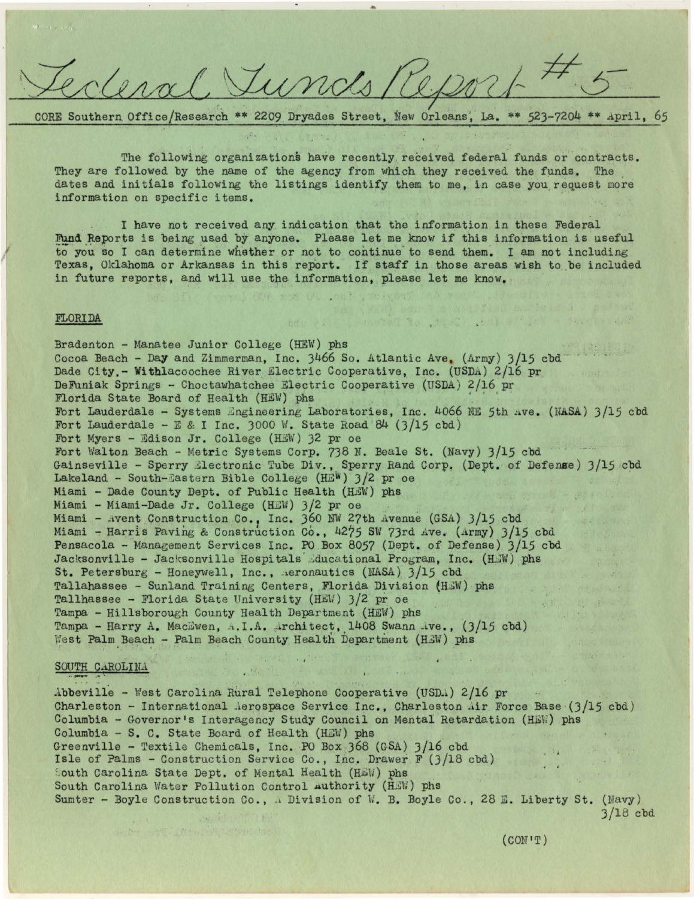rl. Tunds

r--------------------------------------------------~ ~~~~---

CORE Southern Office/Research \*\* 2209 Dryades Street, New Orleans, La. \*\* 523-7204 \*\* April, 65

The following organizations have recently received federal funds or contracts. They are followed by the name of the agency from which they received the funds. The dates and initials following the listings identify them to me, in case you request more information on specific items.

I have not received any indication that the information in these Federal Fund Reports is being used by anyone. Please let me know if this information is useful to you so I can determine whether or not to continue to send them. I am not including Texas, Oklahoma or Arkansas in this report. If staff in those areas wish to be included in future reports, and will use the information, please let me know.

# FLORIDA

Bradenton - Manatee Junior College (HEW) phs Cocoa Beach - Day and Zimmerman, Inc.  $3466$  So. Atlantic Ave. (Army)  $3/15$  cbd<sup>--</sup> Dade City,- Witblacoochee River. Electric Cooperative, Inc. (USDA) 2/16 pr DeFuniak Springs - Choctawhatchee Electric Cooperative (USDA) 2/16 pr Florida State Board of Health (HEW) phs Fort Lauderdale - Systems Engineering Laboratories, Inc. 4066 *NE* 5th ave. (NASA) 3/15 cbd Fort Lauderdale - E & I Inc. 3000 *\{ .* State Road 84 (3/15 cbd) Fort Myers - Edison Jr. College (HEW) 32 pr oe Fort Walton Beach - Metric Systems Corp. 738 N. Beale St. (Navy)  $3/15$  cbd Gainseville - Sperry Electronic Tube Div., Sperry Rand Corp. (Dept. of Defense) 3/15 cbd Lakeland - South-Eastern Bible College (HEW)  $3/2$  pr oe Miami - Dade County Dept. of Public Health (HEW) phs Miami - Miami-Dade Jr. College (HEW)  $3/2$  pr oe Miami - Avent Construction Co., Inc. 360 NW 27th Avenue (GSA)  $3/15$  cbd Miami - Harris Paving & Construction Co., 4275 SW 73rd Ave. (Army) 3/15 cbd Pensacola - Management Services Inc. PO Box 8057 (Dept. of Defense)  $3/15$  cbd Jacksonville - Jacksonville Hospitals Educational Program, Inc. (HEW) phs St. Petersburg - Honeywell, Inc.,  $\Delta$  aeronautics (NASA) 3/15 cbd Tallahassee - Sunland Training Centers, Florida Division (HEW) phs Tallhassee - Florida State University (HE\:) J/2 pr oe Tampa - Hillsborough County Health Department (HEW) phs Tampa - Harry A. MacEwen, A.I.A. Architect, 1408 Swann Ave.,  $(3/15 \text{ cbd})$ West Palm Beach - Palm Beach County Health Department (HEW) phs

### SOUTH CAROLINA

Abbeville - West Carolina Rural Telephone Cooperative (USD.4) 2/16 pr Charleston - International Aerospace Service Inc., Charleston Air Force Base  $(3/15 \text{ cbd})$ Columbia- Governor's Interagency Study Council on Mental Retardation (HE\;) phs Columbia - S. c. State Board of Health (HEU) phs Greenville - Textile Chemicals, Inc. PO Box :J68 (GSA) J/16 cbd Isle of Palms - Construction Service Co., Inc. Drawer F (3/18 cbd) South Carolina State Dept. of Mental Health (HEW) phs South Carolina Water Pollution Control authority (HEW) phs , ' Sumter - Boyle Construction Co., . Division of W. B. Boyle Co., 28 E. Liberty St. (Navy)

MARIE APPLICATION AREA

**化学数据:** 

 $\mathcal{L}_{\mathcal{M}}^{\text{H}}(\mathcal{M}_{\mathcal{M}}^{\text{H}}(\mathcal{M}_{\mathcal{M}}^{\text{H}}))$ 

1. Not wat . An whole the war don't

a nyaping 140 man iw

```
3/18 cbd
```
Prosted to Chuch Lank e''Lat w Partire doc